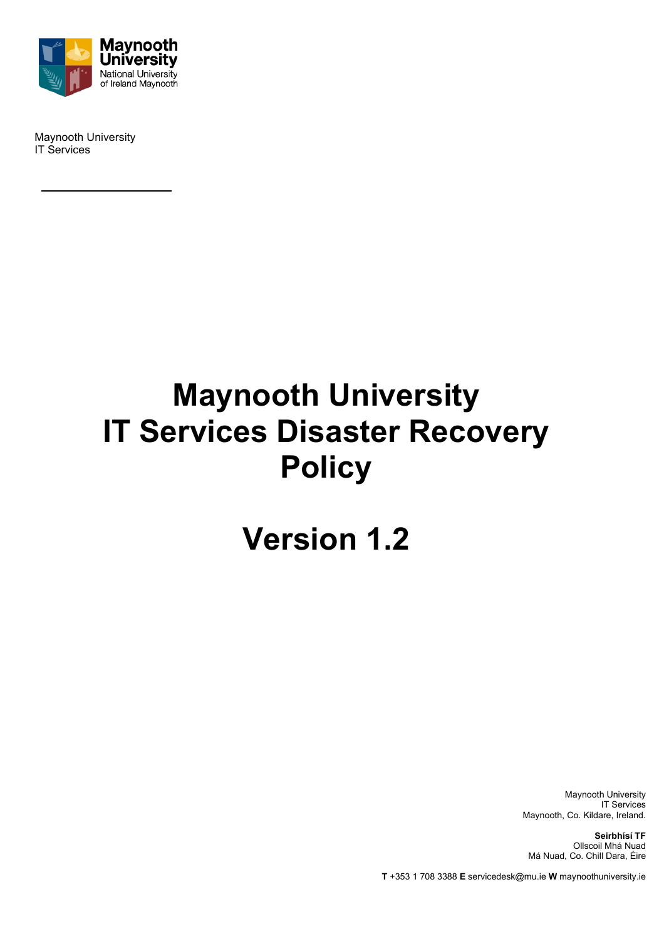

Maynooth University IT Services

# **Maynooth University IT Services Disaster Recovery Policy**

# **Version 1.2**

Maynooth University IT Services Maynooth, Co. Kildare, Ireland.

**Seirbhísí TF** Ollscoil Mhá Nuad Má Nuad, Co. Chill Dara, Éire

**T** +353 1 708 3388 **E** servicedesk@mu.ie **W** maynoothuniversity.ie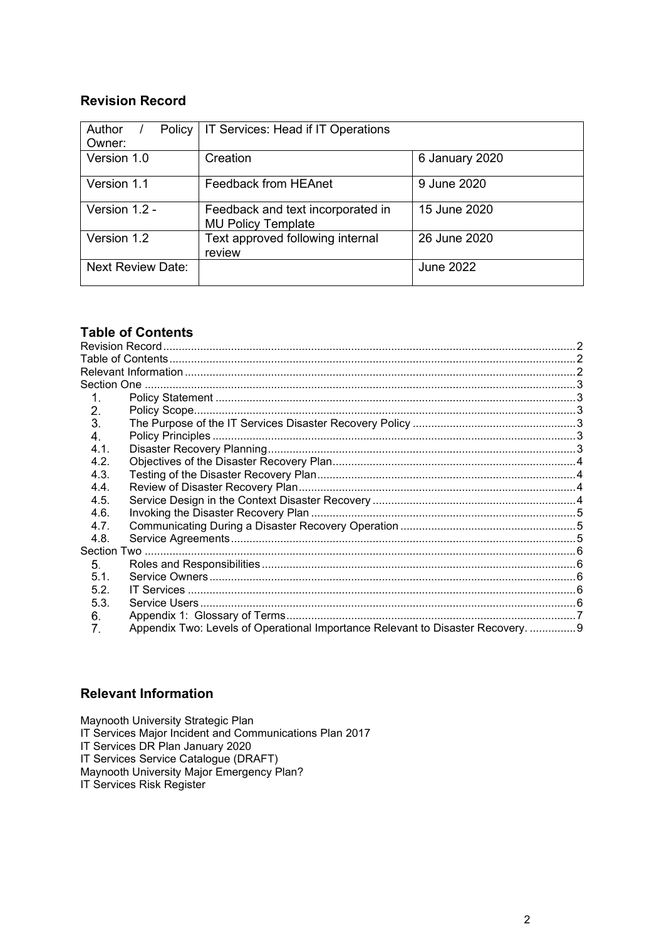## <span id="page-1-0"></span>**Revision Record**

| Author<br>Policy<br>Owner: | IT Services: Head if IT Operations                             |                  |  |  |  |
|----------------------------|----------------------------------------------------------------|------------------|--|--|--|
| Version 1.0                | Creation                                                       | 6 January 2020   |  |  |  |
| Version 1.1                | <b>Feedback from HEAnet</b>                                    | 9 June 2020      |  |  |  |
| Version 1.2 -              | Feedback and text incorporated in<br><b>MU Policy Template</b> | 15 June 2020     |  |  |  |
| Version 1.2                | Text approved following internal<br>review                     | 26 June 2020     |  |  |  |
| <b>Next Review Date:</b>   |                                                                | <b>June 2022</b> |  |  |  |

## <span id="page-1-1"></span>**Table of Contents**

| 1.   |                                                                                  |  |
|------|----------------------------------------------------------------------------------|--|
| 2.   |                                                                                  |  |
| 3.   |                                                                                  |  |
| 4.   |                                                                                  |  |
| 4.1  |                                                                                  |  |
| 4.2. |                                                                                  |  |
| 4.3. |                                                                                  |  |
| 4.4. |                                                                                  |  |
| 4.5. |                                                                                  |  |
| 4.6. |                                                                                  |  |
| 4.7. |                                                                                  |  |
| 4.8. |                                                                                  |  |
|      |                                                                                  |  |
| 5.   |                                                                                  |  |
| 5.1  |                                                                                  |  |
| 5.2. |                                                                                  |  |
| 5.3. |                                                                                  |  |
| 6.   |                                                                                  |  |
| 7.   | Appendix Two: Levels of Operational Importance Relevant to Disaster Recovery.  9 |  |
|      |                                                                                  |  |

## <span id="page-1-2"></span>**Relevant Information**

Maynooth University Strategic Plan IT Services Major Incident and Communications Plan 2017 IT Services DR Plan January 2020 IT Services Service Catalogue (DRAFT) Maynooth University Major Emergency Plan? IT Services Risk Register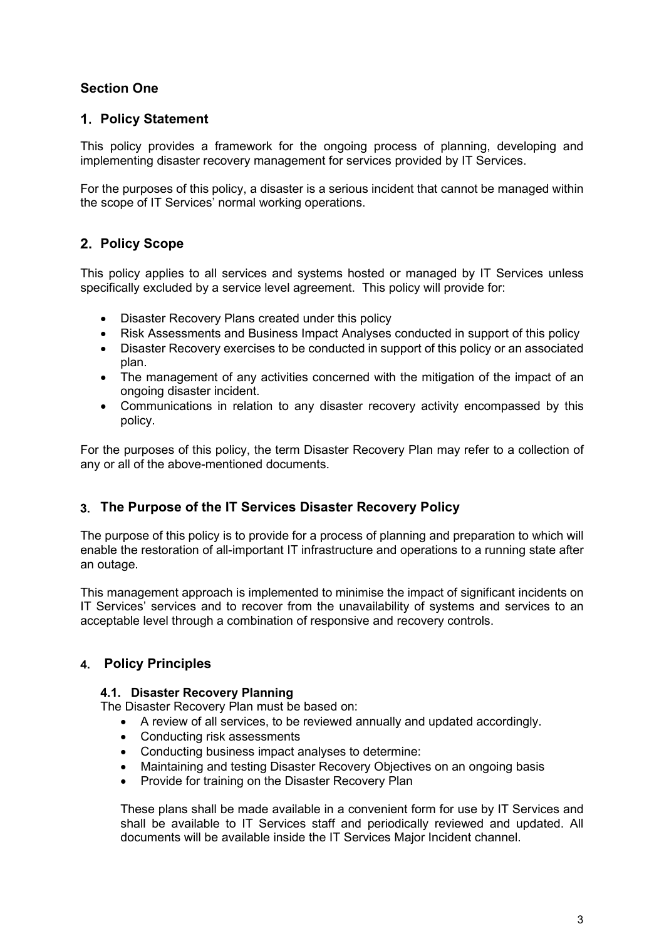## <span id="page-2-0"></span>**Section One**

## <span id="page-2-1"></span>**Policy Statement**

This policy provides a framework for the ongoing process of planning, developing and implementing disaster recovery management for services provided by IT Services.

For the purposes of this policy, a disaster is a serious incident that cannot be managed within the scope of IT Services' normal working operations.

## <span id="page-2-2"></span>**Policy Scope**

This policy applies to all services and systems hosted or managed by IT Services unless specifically excluded by a service level agreement. This policy will provide for:

- Disaster Recovery Plans created under this policy
- Risk Assessments and Business Impact Analyses conducted in support of this policy
- Disaster Recovery exercises to be conducted in support of this policy or an associated plan.
- The management of any activities concerned with the mitigation of the impact of an ongoing disaster incident.
- Communications in relation to any disaster recovery activity encompassed by this policy.

For the purposes of this policy, the term Disaster Recovery Plan may refer to a collection of any or all of the above-mentioned documents.

## <span id="page-2-3"></span>**The Purpose of the IT Services Disaster Recovery Policy**

The purpose of this policy is to provide for a process of planning and preparation to which will enable the restoration of all-important IT infrastructure and operations to a running state after an outage.

This management approach is implemented to minimise the impact of significant incidents on IT Services' services and to recover from the unavailability of systems and services to an acceptable level through a combination of responsive and recovery controls.

## <span id="page-2-4"></span>**Policy Principles**

#### <span id="page-2-5"></span>**4.1. Disaster Recovery Planning**

The Disaster Recovery Plan must be based on:

- A review of all services, to be reviewed annually and updated accordingly.
- Conducting risk assessments
- Conducting business impact analyses to determine:
- Maintaining and testing Disaster Recovery Objectives on an ongoing basis
- Provide for training on the Disaster Recovery Plan

These plans shall be made available in a convenient form for use by IT Services and shall be available to IT Services staff and periodically reviewed and updated. All documents will be available inside the IT Services Major Incident channel.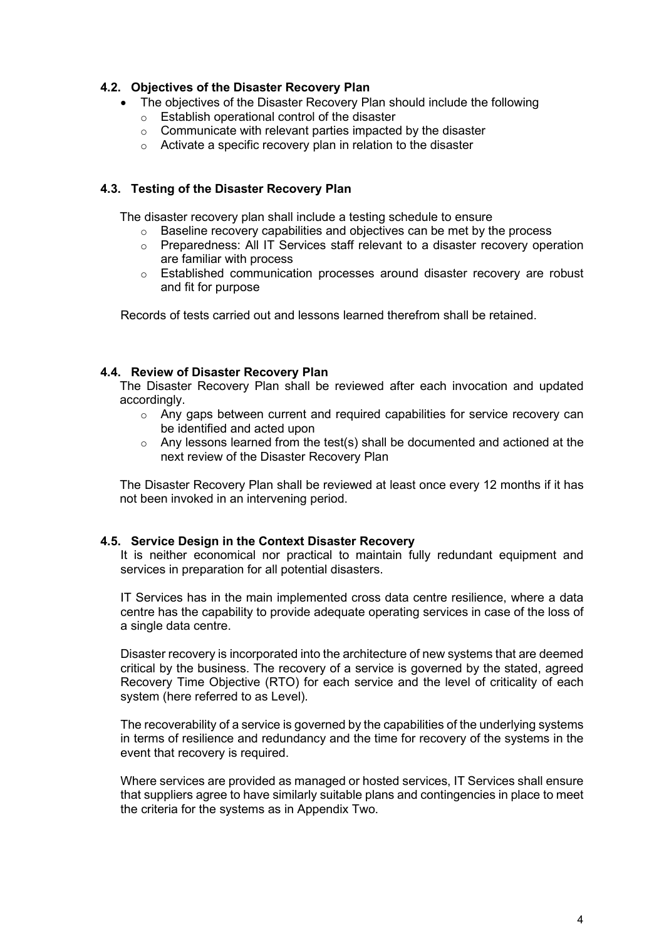#### <span id="page-3-0"></span>**4.2. Objectives of the Disaster Recovery Plan**

- The objectives of the Disaster Recovery Plan should include the following
	- o Establish operational control of the disaster
	- o Communicate with relevant parties impacted by the disaster
	- o Activate a specific recovery plan in relation to the disaster

#### <span id="page-3-1"></span>**4.3. Testing of the Disaster Recovery Plan**

The disaster recovery plan shall include a testing schedule to ensure

- o Baseline recovery capabilities and objectives can be met by the process
- $\circ$  Preparedness: All IT Services staff relevant to a disaster recovery operation are familiar with process
- o Established communication processes around disaster recovery are robust and fit for purpose

Records of tests carried out and lessons learned therefrom shall be retained.

#### <span id="page-3-2"></span>**4.4. Review of Disaster Recovery Plan**

The Disaster Recovery Plan shall be reviewed after each invocation and updated accordingly.

- o Any gaps between current and required capabilities for service recovery can be identified and acted upon
- o Any lessons learned from the test(s) shall be documented and actioned at the next review of the Disaster Recovery Plan

The Disaster Recovery Plan shall be reviewed at least once every 12 months if it has not been invoked in an intervening period.

#### <span id="page-3-3"></span>**4.5. Service Design in the Context Disaster Recovery**

It is neither economical nor practical to maintain fully redundant equipment and services in preparation for all potential disasters.

IT Services has in the main implemented cross data centre resilience, where a data centre has the capability to provide adequate operating services in case of the loss of a single data centre.

Disaster recovery is incorporated into the architecture of new systems that are deemed critical by the business. The recovery of a service is governed by the stated, agreed Recovery Time Objective (RTO) for each service and the level of criticality of each system (here referred to as Level).

The recoverability of a service is governed by the capabilities of the underlying systems in terms of resilience and redundancy and the time for recovery of the systems in the event that recovery is required.

Where services are provided as managed or hosted services, IT Services shall ensure that suppliers agree to have similarly suitable plans and contingencies in place to meet the criteria for the systems as in Appendix Two.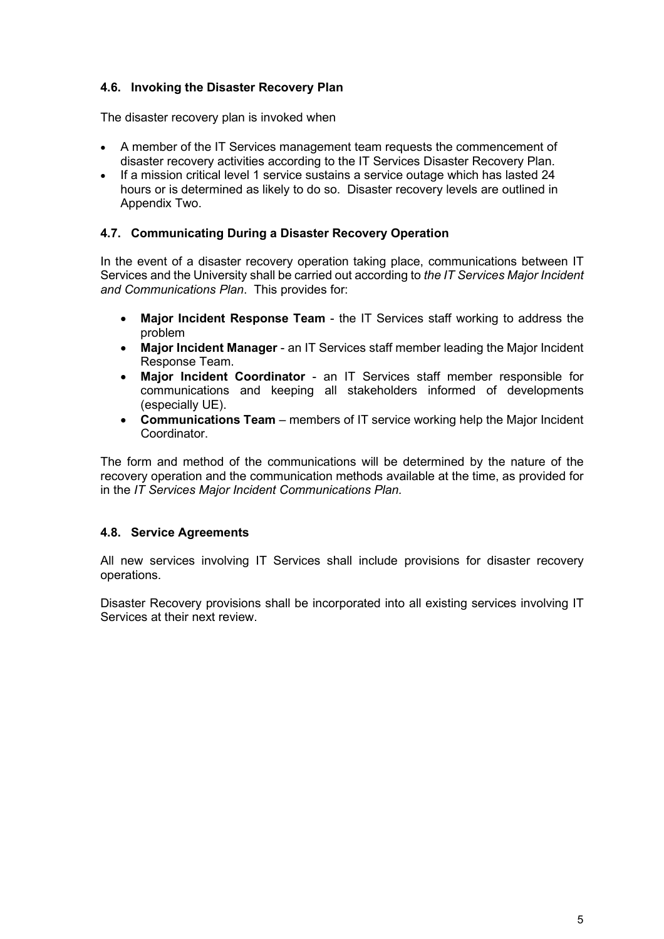#### <span id="page-4-0"></span>**4.6. Invoking the Disaster Recovery Plan**

The disaster recovery plan is invoked when

- A member of the IT Services management team requests the commencement of disaster recovery activities according to the IT Services Disaster Recovery Plan.
- If a mission critical level 1 service sustains a service outage which has lasted 24 hours or is determined as likely to do so. Disaster recovery levels are outlined in Appendix Two.

#### <span id="page-4-1"></span>**4.7. Communicating During a Disaster Recovery Operation**

In the event of a disaster recovery operation taking place, communications between IT Services and the University shall be carried out according to *the IT Services Major Incident and Communications Plan*. This provides for:

- **Major Incident Response Team** the IT Services staff working to address the problem
- **Major Incident Manager** an IT Services staff member leading the Major Incident Response Team.
- **Major Incident Coordinator** an IT Services staff member responsible for communications and keeping all stakeholders informed of developments (especially UE).
- **Communications Team** members of IT service working help the Major Incident Coordinator.

The form and method of the communications will be determined by the nature of the recovery operation and the communication methods available at the time, as provided for in the *IT Services Major Incident Communications Plan.*

#### <span id="page-4-2"></span>**4.8. Service Agreements**

All new services involving IT Services shall include provisions for disaster recovery operations.

Disaster Recovery provisions shall be incorporated into all existing services involving IT Services at their next review.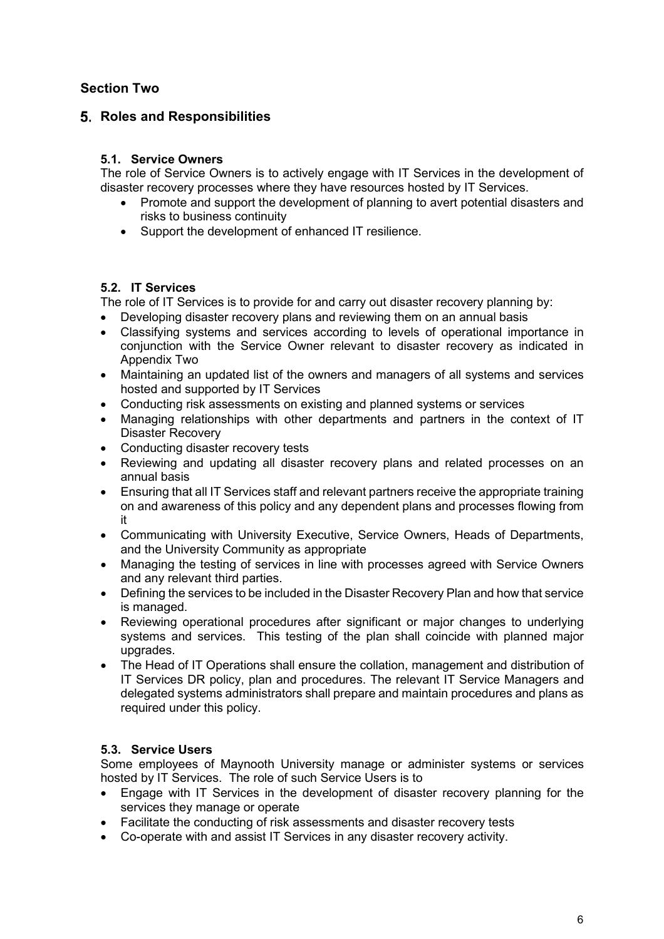## <span id="page-5-0"></span>**Section Two**

## <span id="page-5-1"></span>**Roles and Responsibilities**

### <span id="page-5-2"></span>**5.1. Service Owners**

The role of Service Owners is to actively engage with IT Services in the development of disaster recovery processes where they have resources hosted by IT Services.

- Promote and support the development of planning to avert potential disasters and risks to business continuity
- Support the development of enhanced IT resilience.

## <span id="page-5-3"></span>**5.2. IT Services**

The role of IT Services is to provide for and carry out disaster recovery planning by:

- Developing disaster recovery plans and reviewing them on an annual basis
- Classifying systems and services according to levels of operational importance in conjunction with the Service Owner relevant to disaster recovery as indicated in Appendix Two
- Maintaining an updated list of the owners and managers of all systems and services hosted and supported by IT Services
- Conducting risk assessments on existing and planned systems or services
- Managing relationships with other departments and partners in the context of IT Disaster Recovery
- Conducting disaster recovery tests
- Reviewing and updating all disaster recovery plans and related processes on an annual basis
- Ensuring that all IT Services staff and relevant partners receive the appropriate training on and awareness of this policy and any dependent plans and processes flowing from it
- Communicating with University Executive, Service Owners, Heads of Departments, and the University Community as appropriate
- Managing the testing of services in line with processes agreed with Service Owners and any relevant third parties.
- Defining the services to be included in the Disaster Recovery Plan and how that service is managed.
- Reviewing operational procedures after significant or major changes to underlying systems and services. This testing of the plan shall coincide with planned major upgrades.
- The Head of IT Operations shall ensure the collation, management and distribution of IT Services DR policy, plan and procedures. The relevant IT Service Managers and delegated systems administrators shall prepare and maintain procedures and plans as required under this policy.

#### <span id="page-5-4"></span>**5.3. Service Users**

Some employees of Maynooth University manage or administer systems or services hosted by IT Services. The role of such Service Users is to

- Engage with IT Services in the development of disaster recovery planning for the services they manage or operate
- Facilitate the conducting of risk assessments and disaster recovery tests
- Co-operate with and assist IT Services in any disaster recovery activity.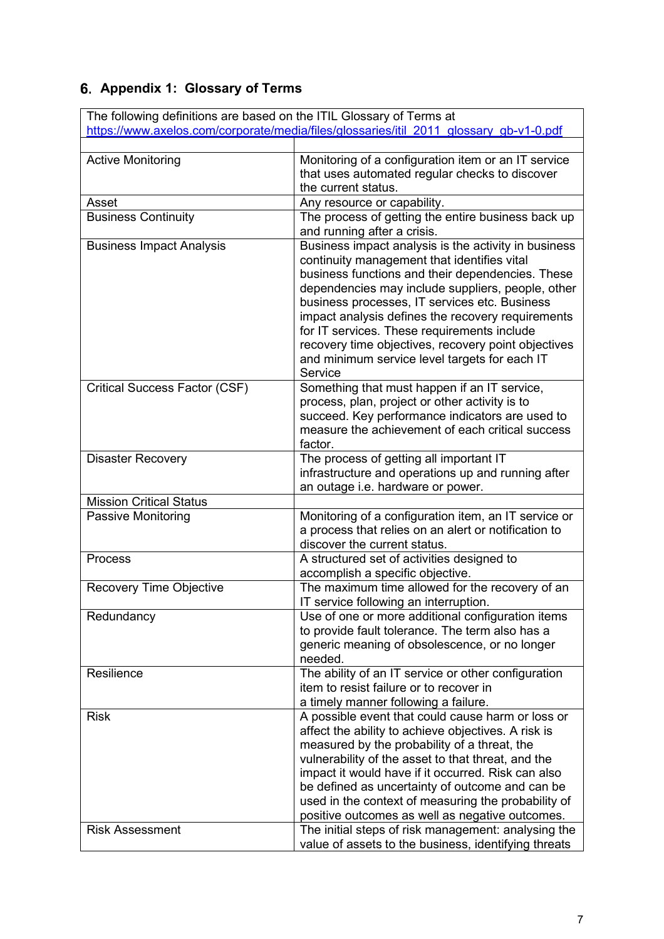## <span id="page-6-0"></span>**Appendix 1: Glossary of Terms**

| The following definitions are based on the ITIL Glossary of Terms at |                                                                                                              |  |  |  |
|----------------------------------------------------------------------|--------------------------------------------------------------------------------------------------------------|--|--|--|
|                                                                      | https://www.axelos.com/corporate/media/files/glossaries/itil 2011 glossary gb-v1-0.pdf                       |  |  |  |
|                                                                      |                                                                                                              |  |  |  |
| <b>Active Monitoring</b>                                             | Monitoring of a configuration item or an IT service                                                          |  |  |  |
|                                                                      | that uses automated regular checks to discover                                                               |  |  |  |
|                                                                      | the current status.                                                                                          |  |  |  |
| Asset                                                                | Any resource or capability.                                                                                  |  |  |  |
| <b>Business Continuity</b>                                           | The process of getting the entire business back up                                                           |  |  |  |
|                                                                      | and running after a crisis.                                                                                  |  |  |  |
| <b>Business Impact Analysis</b>                                      | Business impact analysis is the activity in business                                                         |  |  |  |
|                                                                      | continuity management that identifies vital                                                                  |  |  |  |
|                                                                      | business functions and their dependencies. These<br>dependencies may include suppliers, people, other        |  |  |  |
|                                                                      | business processes, IT services etc. Business                                                                |  |  |  |
|                                                                      | impact analysis defines the recovery requirements                                                            |  |  |  |
|                                                                      | for IT services. These requirements include                                                                  |  |  |  |
|                                                                      | recovery time objectives, recovery point objectives                                                          |  |  |  |
|                                                                      | and minimum service level targets for each IT                                                                |  |  |  |
|                                                                      | Service                                                                                                      |  |  |  |
| <b>Critical Success Factor (CSF)</b>                                 | Something that must happen if an IT service,                                                                 |  |  |  |
|                                                                      | process, plan, project or other activity is to                                                               |  |  |  |
|                                                                      | succeed. Key performance indicators are used to                                                              |  |  |  |
|                                                                      | measure the achievement of each critical success                                                             |  |  |  |
|                                                                      | factor.                                                                                                      |  |  |  |
| <b>Disaster Recovery</b>                                             | The process of getting all important IT                                                                      |  |  |  |
|                                                                      | infrastructure and operations up and running after                                                           |  |  |  |
|                                                                      | an outage i.e. hardware or power.                                                                            |  |  |  |
| <b>Mission Critical Status</b>                                       |                                                                                                              |  |  |  |
| Passive Monitoring                                                   | Monitoring of a configuration item, an IT service or<br>a process that relies on an alert or notification to |  |  |  |
|                                                                      | discover the current status.                                                                                 |  |  |  |
| <b>Process</b>                                                       | A structured set of activities designed to                                                                   |  |  |  |
|                                                                      | accomplish a specific objective.                                                                             |  |  |  |
| <b>Recovery Time Objective</b>                                       | The maximum time allowed for the recovery of an                                                              |  |  |  |
|                                                                      | IT service following an interruption.                                                                        |  |  |  |
| Redundancy                                                           | Use of one or more additional configuration items                                                            |  |  |  |
|                                                                      | to provide fault tolerance. The term also has a                                                              |  |  |  |
|                                                                      | generic meaning of obsolescence, or no longer                                                                |  |  |  |
|                                                                      | needed.                                                                                                      |  |  |  |
| Resilience                                                           | The ability of an IT service or other configuration                                                          |  |  |  |
|                                                                      | item to resist failure or to recover in                                                                      |  |  |  |
|                                                                      | a timely manner following a failure.                                                                         |  |  |  |
| <b>Risk</b>                                                          | A possible event that could cause harm or loss or                                                            |  |  |  |
|                                                                      | affect the ability to achieve objectives. A risk is                                                          |  |  |  |
|                                                                      | measured by the probability of a threat, the                                                                 |  |  |  |
|                                                                      | vulnerability of the asset to that threat, and the<br>impact it would have if it occurred. Risk can also     |  |  |  |
|                                                                      | be defined as uncertainty of outcome and can be                                                              |  |  |  |
|                                                                      | used in the context of measuring the probability of                                                          |  |  |  |
|                                                                      | positive outcomes as well as negative outcomes.                                                              |  |  |  |
| <b>Risk Assessment</b>                                               | The initial steps of risk management: analysing the                                                          |  |  |  |
|                                                                      | value of assets to the business, identifying threats                                                         |  |  |  |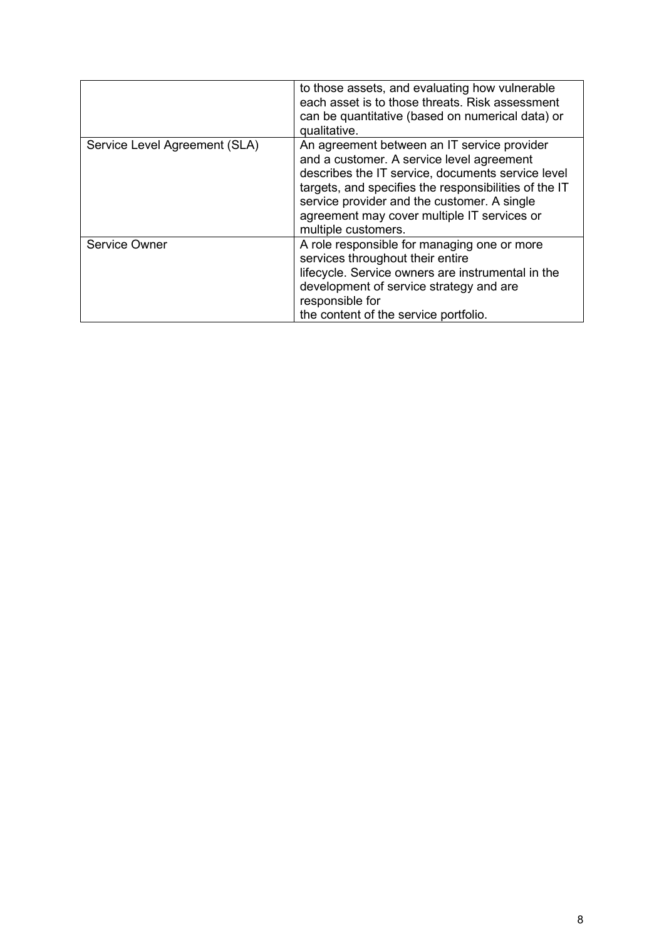|                               | to those assets, and evaluating how vulnerable<br>each asset is to those threats. Risk assessment<br>can be quantitative (based on numerical data) or<br>qualitative.                                                                                                                                                       |  |
|-------------------------------|-----------------------------------------------------------------------------------------------------------------------------------------------------------------------------------------------------------------------------------------------------------------------------------------------------------------------------|--|
| Service Level Agreement (SLA) | An agreement between an IT service provider<br>and a customer. A service level agreement<br>describes the IT service, documents service level<br>targets, and specifies the responsibilities of the IT<br>service provider and the customer. A single<br>agreement may cover multiple IT services or<br>multiple customers. |  |
| <b>Service Owner</b>          | A role responsible for managing one or more<br>services throughout their entire<br>lifecycle. Service owners are instrumental in the<br>development of service strategy and are<br>responsible for<br>the content of the service portfolio.                                                                                 |  |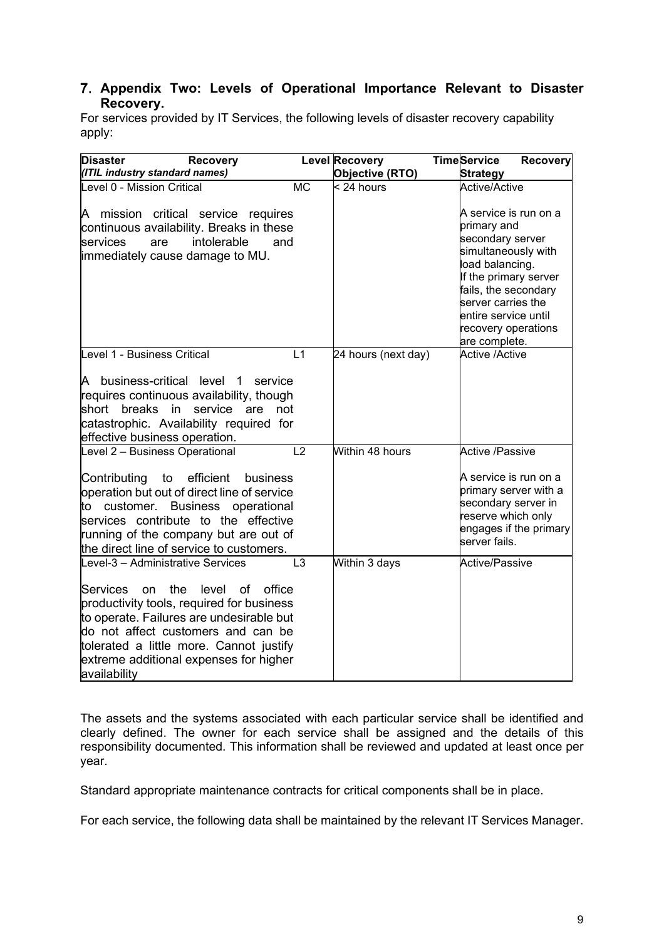#### <span id="page-8-0"></span>**Appendix Two: Levels of Operational Importance Relevant to Disaster Recovery.**

For services provided by IT Services, the following levels of disaster recovery capability apply:

| <b>Disaster</b><br><b>Recovery</b><br>(ITIL industry standard names)                                                                                                                                                                                                                             |                        | <b>Level Recovery</b><br>Objective (RTO) | <b>TimeService</b><br><b>Recovery</b><br><b>Strategy</b>                                                                                                                                                                                  |
|--------------------------------------------------------------------------------------------------------------------------------------------------------------------------------------------------------------------------------------------------------------------------------------------------|------------------------|------------------------------------------|-------------------------------------------------------------------------------------------------------------------------------------------------------------------------------------------------------------------------------------------|
| Level 0 - Mission Critical                                                                                                                                                                                                                                                                       | $\overline{\text{MC}}$ | $<$ 24 hours                             | <b>Active/Active</b>                                                                                                                                                                                                                      |
| A mission critical service requires<br>continuous availability. Breaks in these<br>intolerable<br>services<br>are<br>and<br>immediately cause damage to MU.                                                                                                                                      |                        |                                          | A service is run on a<br>primary and<br>secondary server<br>simultaneously with<br>load balancing.<br>If the primary server<br>fails, the secondary<br>server carries the<br>entire service until<br>recovery operations<br>are complete. |
| Level 1 - Business Critical                                                                                                                                                                                                                                                                      | L1                     | 24 hours (next day)                      | <b>Active /Active</b>                                                                                                                                                                                                                     |
| business-critical level<br>A<br>$\mathbf 1$<br>service<br>requires continuous availability, though<br>short breaks<br>in<br>service<br>are<br>not<br>catastrophic. Availability required for<br>effective business operation.                                                                    |                        |                                          |                                                                                                                                                                                                                                           |
| Level 2 - Business Operational                                                                                                                                                                                                                                                                   | L2                     | Within 48 hours                          | <b>Active /Passive</b>                                                                                                                                                                                                                    |
| efficient<br>Contributing<br>to<br>business<br>operation but out of direct line of service<br>Business operational<br>customer.<br>to<br>services contribute to the effective<br>running of the company but are out of<br>the direct line of service to customers.                               |                        |                                          | A service is run on a<br>primary server with a<br>secondary server in<br>reserve which only<br>engages if the primary<br>server fails.                                                                                                    |
| Level-3 - Administrative Services                                                                                                                                                                                                                                                                | L <sub>3</sub>         | Within 3 days                            | Active/Passive                                                                                                                                                                                                                            |
| <b>Services</b><br>the<br>level<br>office<br>οf<br><b>on</b><br>productivity tools, required for business<br>to operate. Failures are undesirable but<br>do not affect customers and can be<br>tolerated a little more. Cannot justify<br>extreme additional expenses for higher<br>availability |                        |                                          |                                                                                                                                                                                                                                           |

The assets and the systems associated with each particular service shall be identified and clearly defined. The owner for each service shall be assigned and the details of this responsibility documented. This information shall be reviewed and updated at least once per year.

Standard appropriate maintenance contracts for critical components shall be in place.

For each service, the following data shall be maintained by the relevant IT Services Manager.